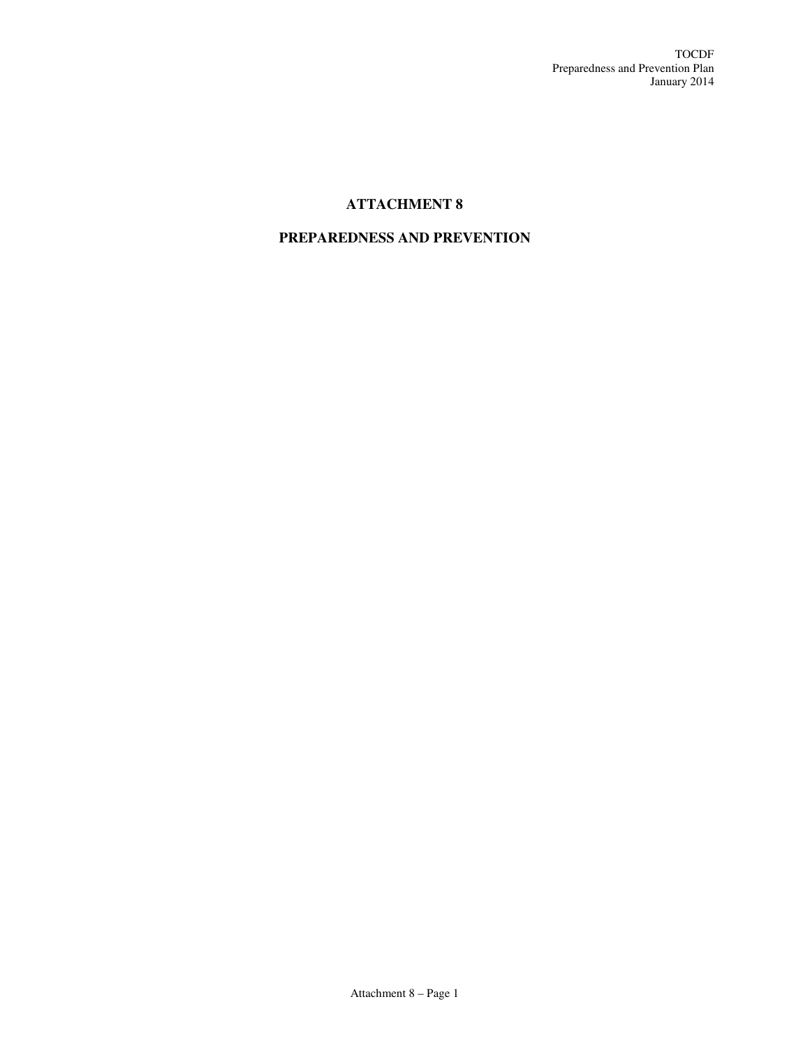# **ATTACHMENT 8**

# **PREPAREDNESS AND PREVENTION**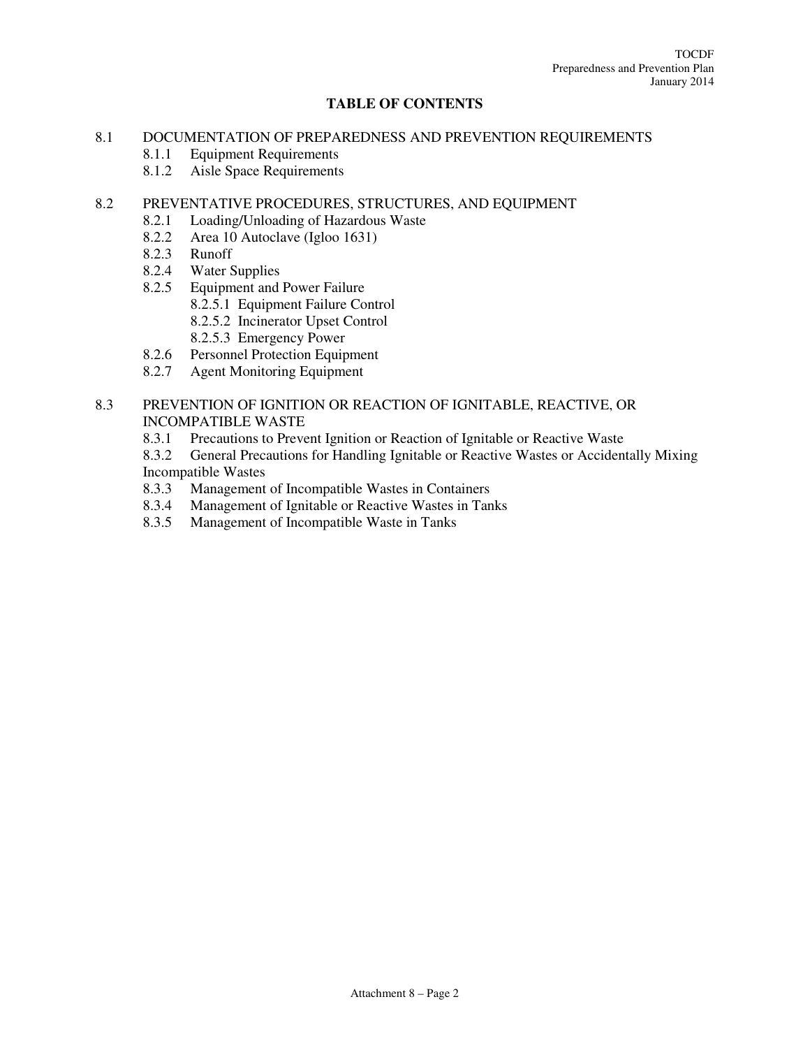## **TABLE OF CONTENTS**

#### 8.1 DOCUMENTATION OF PREPAREDNESS AND PREVENTION REQUIREMENTS

- 8.1.1 Equipment Requirements
- 8.1.2 Aisle Space Requirements

#### 8.2 PREVENTATIVE PROCEDURES, STRUCTURES, AND EQUIPMENT

- 8.2.1 Loading/Unloading of Hazardous Waste<br>8.2.2 Area 10 Autoclave (Igloo 1631)
- Area 10 Autoclave (Igloo 1631)
- 8.2.3 Runoff
- 8.2.4 Water Supplies
- 8.2.5 Equipment and Power Failure
	- 8.2.5.1 Equipment Failure Control
	- 8.2.5.2 Incinerator Upset Control
	- 8.2.5.3 Emergency Power
- 8.2.6 Personnel Protection Equipment
- 8.2.7 Agent Monitoring Equipment

# 8.3 PREVENTION OF IGNITION OR REACTION OF IGNITABLE, REACTIVE, OR INCOMPATIBLE WASTE

- 8.3.1 Precautions to Prevent Ignition or Reaction of Ignitable or Reactive Waste
- 8.3.2 General Precautions for Handling Ignitable or Reactive Wastes or Accidentally Mixing Incompatible Wastes
- 8.3.3 Management of Incompatible Wastes in Containers
- 8.3.4 Management of Ignitable or Reactive Wastes in Tanks
- 8.3.5 Management of Incompatible Waste in Tanks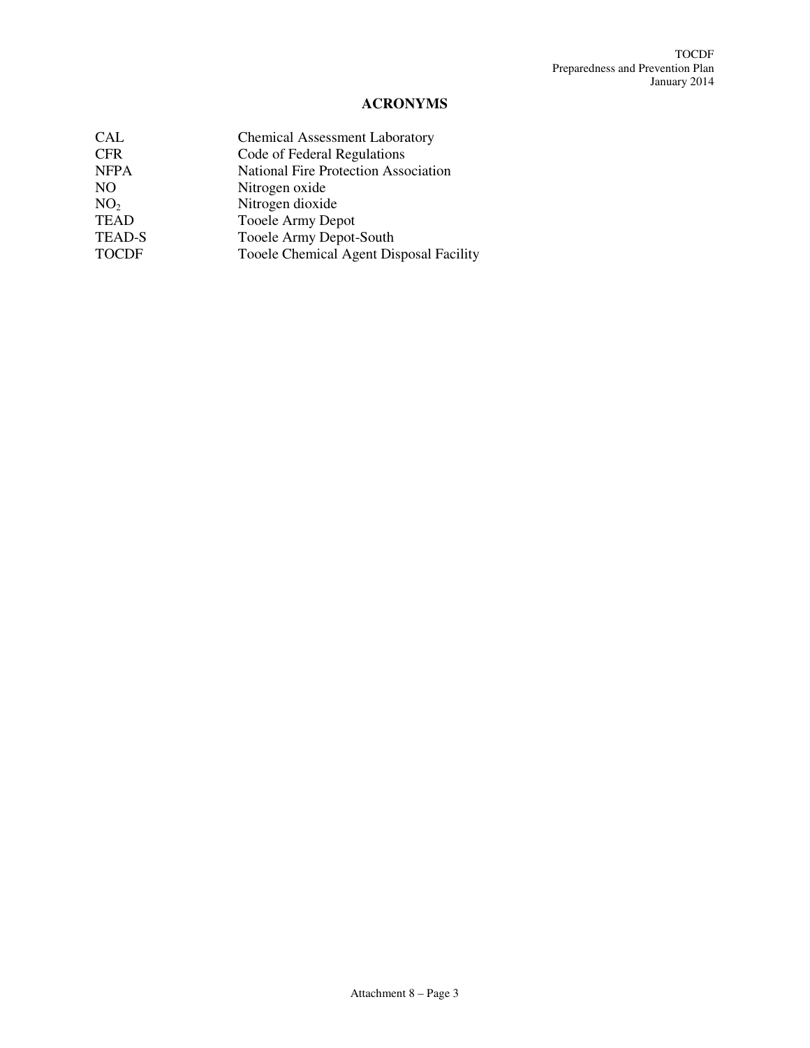# **ACRONYMS**

| <b>CAL</b>      | <b>Chemical Assessment Laboratory</b>       |
|-----------------|---------------------------------------------|
| <b>CFR</b>      | Code of Federal Regulations                 |
| <b>NFPA</b>     | <b>National Fire Protection Association</b> |
| N <sub>O</sub>  | Nitrogen oxide                              |
| NO <sub>2</sub> | Nitrogen dioxide                            |
| <b>TEAD</b>     | Tooele Army Depot                           |
| <b>TEAD-S</b>   | Tooele Army Depot-South                     |
| <b>TOCDF</b>    | Tooele Chemical Agent Disposal Facility     |
|                 |                                             |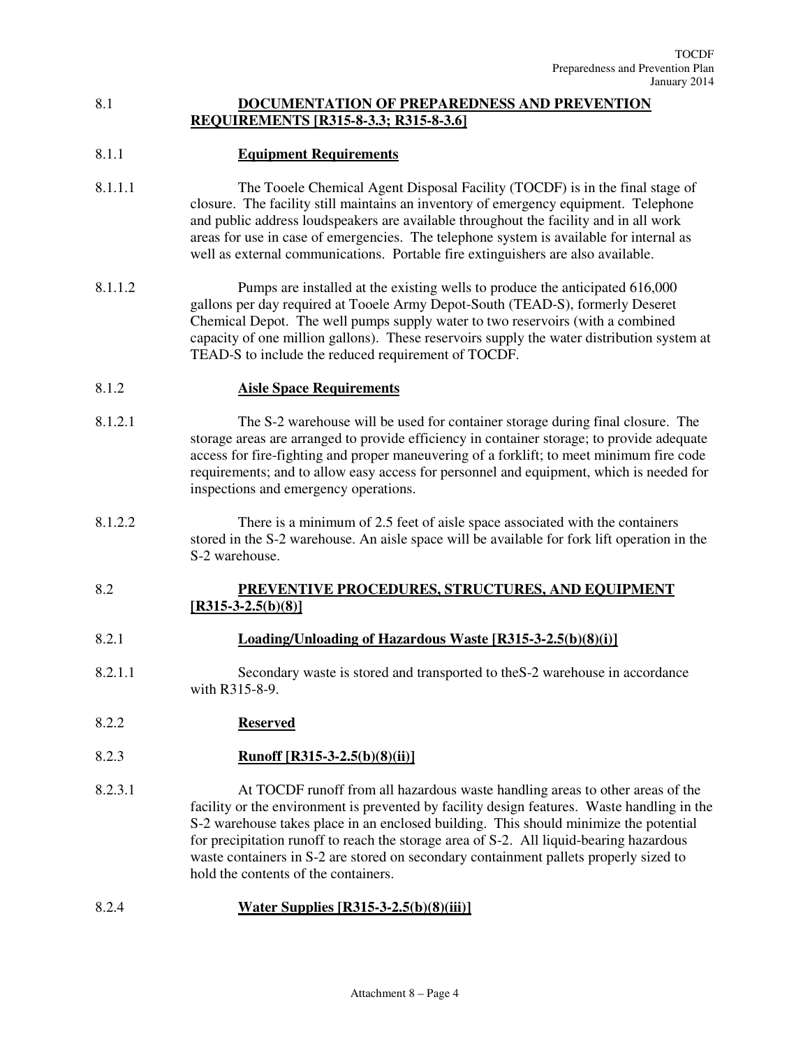## 8.1 **DOCUMENTATION OF PREPAREDNESS AND PREVENTION REQUIREMENTS [R315-8-3.3; R315-8-3.6]**

# 8.1.1 **Equipment Requirements**

- 8.1.1.1 The Tooele Chemical Agent Disposal Facility (TOCDF) is in the final stage of closure. The facility still maintains an inventory of emergency equipment. Telephone and public address loudspeakers are available throughout the facility and in all work areas for use in case of emergencies. The telephone system is available for internal as well as external communications. Portable fire extinguishers are also available.
- 8.1.1.2 Pumps are installed at the existing wells to produce the anticipated 616,000 gallons per day required at Tooele Army Depot-South (TEAD-S), formerly Deseret Chemical Depot. The well pumps supply water to two reservoirs (with a combined capacity of one million gallons). These reservoirs supply the water distribution system at TEAD-S to include the reduced requirement of TOCDF.

#### 8.1.2 **Aisle Space Requirements**

- 8.1.2.1 The S-2 warehouse will be used for container storage during final closure. The storage areas are arranged to provide efficiency in container storage; to provide adequate access for fire-fighting and proper maneuvering of a forklift; to meet minimum fire code requirements; and to allow easy access for personnel and equipment, which is needed for inspections and emergency operations.
- 8.1.2.2 There is a minimum of 2.5 feet of aisle space associated with the containers stored in the S-2 warehouse. An aisle space will be available for fork lift operation in the S-2 warehouse.

# 8.2 **PREVENTIVE PROCEDURES, STRUCTURES, AND EQUIPMENT [R315-3-2.5(b)(8)]**

#### 8.2.1 **Loading/Unloading of Hazardous Waste [R315-3-2.5(b)(8)(i)]**

- 8.2.1.1 Secondary waste is stored and transported to theS-2 warehouse in accordance with R315-8-9.
- 8.2.2 **Reserved**

# 8.2.3 **Runoff [R315-3-2.5(b)(8)(ii)]**

8.2.3.1 At TOCDF runoff from all hazardous waste handling areas to other areas of the facility or the environment is prevented by facility design features. Waste handling in the S-2 warehouse takes place in an enclosed building. This should minimize the potential for precipitation runoff to reach the storage area of S-2. All liquid-bearing hazardous waste containers in S-2 are stored on secondary containment pallets properly sized to hold the contents of the containers.

# 8.2.4 **Water Supplies [R315-3-2.5(b)(8)(iii)]**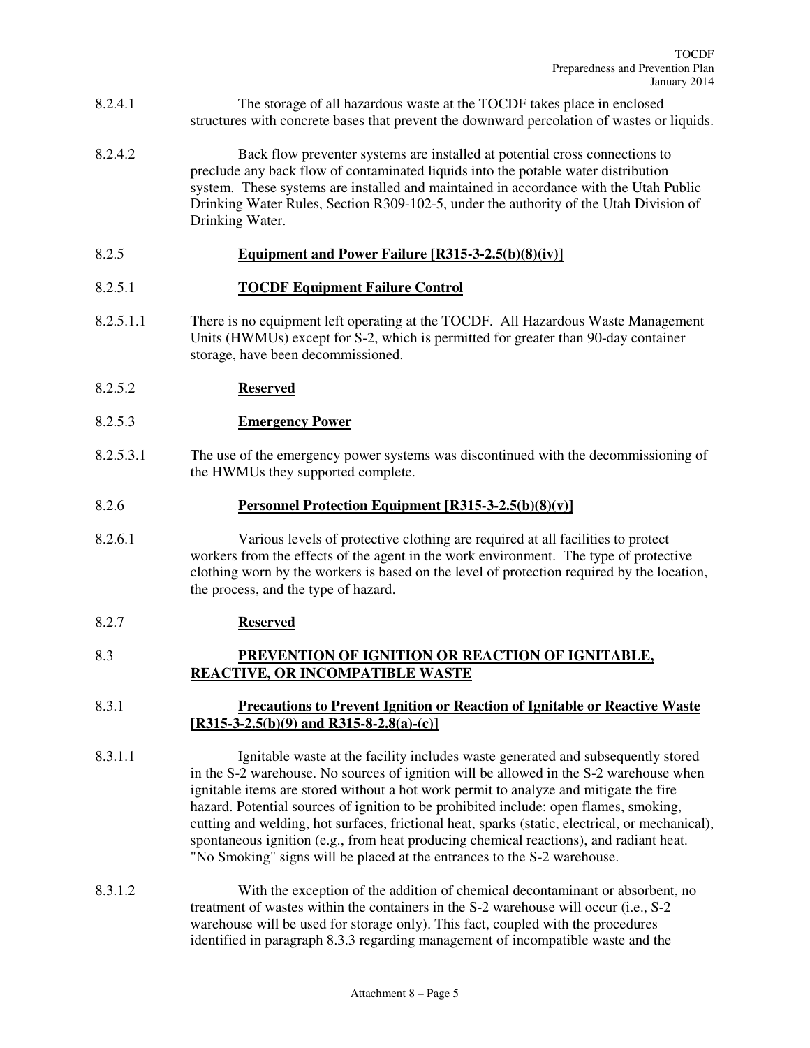- 8.2.4.1 The storage of all hazardous waste at the TOCDF takes place in enclosed structures with concrete bases that prevent the downward percolation of wastes or liquids.
- 8.2.4.2 Back flow preventer systems are installed at potential cross connections to preclude any back flow of contaminated liquids into the potable water distribution system. These systems are installed and maintained in accordance with the Utah Public Drinking Water Rules, Section R309-102-5, under the authority of the Utah Division of Drinking Water.

#### 8.2.5 **Equipment and Power Failure [R315-3-2.5(b)(8)(iv)]**

#### 8.2.5.1 **TOCDF Equipment Failure Control**

8.2.5.1.1 There is no equipment left operating at the TOCDF. All Hazardous Waste Management Units (HWMUs) except for S-2, which is permitted for greater than 90-day container storage, have been decommissioned.

#### 8.2.5.2 **Reserved**

- 8.2.5.3 **Emergency Power**
- 8.2.5.3.1 The use of the emergency power systems was discontinued with the decommissioning of the HWMUs they supported complete.

#### 8.2.6 **Personnel Protection Equipment [R315-3-2.5(b)(8)(v)]**

8.2.6.1 Various levels of protective clothing are required at all facilities to protect workers from the effects of the agent in the work environment. The type of protective clothing worn by the workers is based on the level of protection required by the location, the process, and the type of hazard.

# 8.2.7 **Reserved**

#### 8.3 **PREVENTION OF IGNITION OR REACTION OF IGNITABLE, REACTIVE, OR INCOMPATIBLE WASTE**

# 8.3.1 **Precautions to Prevent Ignition or Reaction of Ignitable or Reactive Waste [R315-3-2.5(b)(9) and R315-8-2.8(a)-(c)]**

- 8.3.1.1 Ignitable waste at the facility includes waste generated and subsequently stored in the S-2 warehouse. No sources of ignition will be allowed in the S-2 warehouse when ignitable items are stored without a hot work permit to analyze and mitigate the fire hazard. Potential sources of ignition to be prohibited include: open flames, smoking, cutting and welding, hot surfaces, frictional heat, sparks (static, electrical, or mechanical), spontaneous ignition (e.g., from heat producing chemical reactions), and radiant heat. "No Smoking" signs will be placed at the entrances to the S-2 warehouse.
- 8.3.1.2 With the exception of the addition of chemical decontaminant or absorbent, no treatment of wastes within the containers in the S-2 warehouse will occur (i.e., S-2 warehouse will be used for storage only). This fact, coupled with the procedures identified in paragraph 8.3.3 regarding management of incompatible waste and the